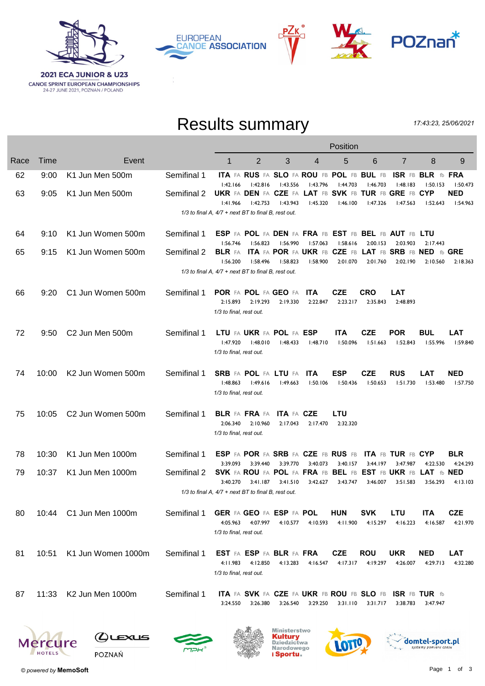







## Results summary

17:43:23, 25/06/2021

|      |             |                               |                                                         | Position                            |                                                            |                        |                        |                        |                                              |                                                                     |                                    |                        |
|------|-------------|-------------------------------|---------------------------------------------------------|-------------------------------------|------------------------------------------------------------|------------------------|------------------------|------------------------|----------------------------------------------|---------------------------------------------------------------------|------------------------------------|------------------------|
| Race | <b>Time</b> | Event                         |                                                         | 1                                   | 2                                                          | 3                      | 4                      | 5                      | 6                                            | 7                                                                   | 8                                  | 9                      |
| 62   | 9:00        | K1 Jun Men 500m               | Semifinal 1                                             | 1:42.166                            | ITA FA RUS FA SLO FA ROU FB POL FB BUL FB<br>1:42.816      | 1:43.556               | 1:43.796               | 1:44.703               | 1:46.703                                     | 1:48.183                                                            | ISR FB BLR fb FRA<br>1:50.153      | 1:50.473               |
| 63   | 9:05        | K1 Jun Men 500m               | Semifinal 2                                             | 1:41.966                            | 1:42.753                                                   | 1:43.943               | 1:45.320               | 1:46.100               | l:47.326                                     | UKR FA DEN FA CZE FA LAT FB SVK FB TUR FB GRE FB CYP<br>1:47.563    | 1:52.643                           | <b>NED</b><br>1:54.963 |
|      |             |                               | $1/3$ to final A, $4/7$ + next BT to final B, rest out. |                                     |                                                            |                        |                        |                        |                                              |                                                                     |                                    |                        |
| 64   | 9:10        | K1 Jun Women 500m             | Semifinal 1                                             | 1:56.746                            | 1:56.823                                                   | 1:56.990               | 1:57.063               | 1:58.616               | 2:00.153                                     | ESP FA POL FA DEN FA FRA FB EST FB BEL FB AUT FB LTU<br>2:03.903    | 2:17.443                           |                        |
| 65   | 9:15        | K1 Jun Women 500m             | Semifinal 2                                             | <b>BLR</b> FA<br>1:56.200           | 1:58.496                                                   | 1:58.823               | 1:58.900               | 2:01.070               | 2:01.760                                     | ITA FA POR FA UKR FB CZE FB LAT FB SRB FB NED fb GRE<br>2:02.190    | 2:10.560                           | 2:18.363               |
|      |             |                               | 1/3 to final A, 4/7 + next BT to final B, rest out.     |                                     |                                                            |                        |                        |                        |                                              |                                                                     |                                    |                        |
| 66   | 9:20        | C1 Jun Women 500m             | Semifinal 1                                             | 2:15.893<br>1/3 to final, rest out. | POR FA POL FA GEO FA<br>2:19.293                           | 2:19.330               | <b>ITA</b><br>2:22.847 | CZE<br>2:23.217        | <b>CRO</b><br>2:35.843                       | LAT<br>2:48.893                                                     |                                    |                        |
| 72   | 9:50        | C2 Jun Men 500m               | Semifinal 1                                             | I:47.920<br>1/3 to final, rest out. | LTU FA UKR FA POL FA ESP<br>1:48.010                       | 1:48.433               | 1:48.710               | ITA.<br>1:50.096       | <b>CZE</b><br>1:51.663                       | <b>POR</b><br>1:52.843                                              | <b>BUL</b><br>I:55.996             | LAT<br>1:59.840        |
| 74   | 10:00       | K2 Jun Women 500m             | Semifinal 1                                             | 1:48.863<br>1/3 to final, rest out. | <b>SRB</b> FA POL FA LTU FA<br>1:49.616                    | 1:49.663               | <b>ITA</b><br>1:50.106 | <b>ESP</b><br>1:50.436 | <b>CZE</b><br>I:50.653                       | <b>RUS</b><br>1:51.730                                              | <b>LAT</b><br>1:53.480             | <b>NED</b><br>1:57.750 |
| 75   | 10:05       | C <sub>2</sub> Jun Women 500m | Semifinal 1                                             | 2:06.340<br>1/3 to final, rest out. | BLR FA FRA FA<br>2:10.960                                  | ITA FA CZE<br>2:17.043 | 2:17.470               | LTU<br>2:32.320        |                                              |                                                                     |                                    |                        |
| 78   | 10:30       | K1 Jun Men 1000m              | Semifinal 1                                             |                                     | <b>ESP FA POR FA SRB FA CZE FB RUS FB</b>                  |                        |                        |                        |                                              | ITA FB TUR FB CYP                                                   |                                    | <b>BLR</b>             |
| 79   | 10:37       | K1 Jun Men 1000m              | Semifinal 2                                             | 3:39.093<br>3:40.270                | 3:39.440<br>SVK FA ROU FA POL FA FRA FB BEL FB<br>3:41.187 | 3:39.770<br>3:41.510   | 3:40.073<br>3:42.627   | 3:40.157<br>3:43.747   | 3:44.197<br><b>EST FB UKR FB</b><br>3:46.007 | 3:47.987<br>3:51.583                                                | 4:22.530<br>LAT fb NED<br>3:56.293 | 4:24.293<br>4:13.103   |
|      |             |                               | $1/3$ to final A, $4/7$ + next BT to final B, rest out. |                                     |                                                            |                        |                        |                        |                                              |                                                                     |                                    |                        |
| 80   |             | 10:44 C1 Jun Men 1000m        | Semifinal 1                                             | 4:05.963<br>1/3 to final, rest out. | GER FA GEO FA ESP FA POL<br>4:07.997                       | 4:10.577               | 4:10.593               | <b>HUN</b><br>4:11.900 | <b>SVK</b><br>4:15.297                       | LTU<br>4:16.223                                                     | ITA<br>4:16.587                    | <b>CZE</b><br>4:21.970 |
| 81   | 10:51       | K1 Jun Women 1000m            | Semifinal 1                                             | 4:11.983<br>1/3 to final, rest out. | <b>EST FA ESP FA BLR FA FRA</b><br>4:12.850                | 4:13.283               | 4:16.547               | CZE<br>4:17.317        | <b>ROU</b><br>4:19.297                       | <b>UKR</b><br>4:26.007                                              | <b>NED</b><br>4:29.713             | <b>LAT</b><br>4:32.280 |
| 87   | 11:33       | K2 Jun Men 1000m              | Semifinal 1                                             | 3:24.550                            | 3:26.380                                                   | 3:26.540               | 3:29.250               | 3:31.110               | 3:31.717                                     | ITA FA SVK FA CZE FA UKR FB ROU FB SLO FB ISR FB TUR fb<br>3:38.783 | 3:47.947                           |                        |
|      |             |                               |                                                         |                                     |                                                            |                        |                        |                        |                                              |                                                                     |                                    |                        |

**provered by MemoSoft**<br> **provered by MemoSoft**<br> **powered by MemoSoft** 

**Mercure** 

 $Q$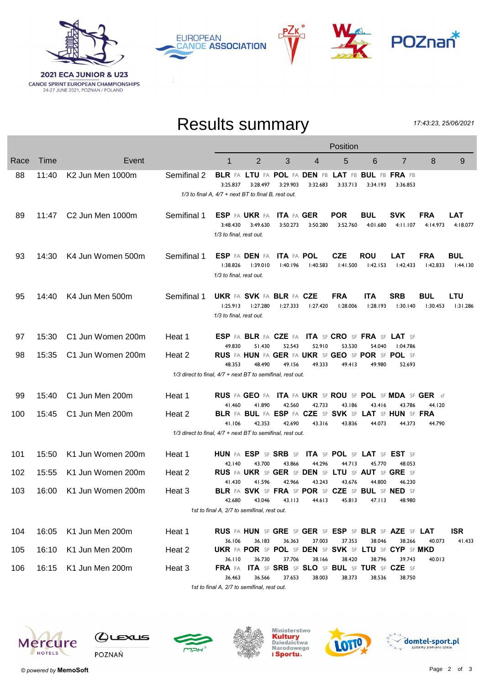

**EUROPEAN CANOE ASSOCIATION** 



## Results summary

P∠k

17:43:23, 25/06/2021

|      |       |                   |                                                            | Position                                                        |                                                                                 |                               |                  |                                |                                                     |                        |                        |                        |
|------|-------|-------------------|------------------------------------------------------------|-----------------------------------------------------------------|---------------------------------------------------------------------------------|-------------------------------|------------------|--------------------------------|-----------------------------------------------------|------------------------|------------------------|------------------------|
| Race | Time  | Event             |                                                            | 1                                                               | $\overline{2}$                                                                  | 3                             | 4                | 5                              | 6                                                   | $\overline{7}$         | 8                      | 9                      |
| 88   | 11:40 | K2 Jun Men 1000m  | Semifinal 2                                                | 3:25.837<br>1/3 to final A, 4/7 + next BT to final B, rest out. | BLR FA LTU FA POL FA DEN FB LAT FB BUL FB FRA FB<br>3:28.497                    | 3:29.903                      | 3:32.683         | 3:33.713                       | 3:34.193                                            | 3:36.853               |                        |                        |
| 89   | 11:47 | C2 Jun Men 1000m  | Semifinal 1                                                | 3:48.430<br>1/3 to final, rest out.                             | ESP FA UKR FA<br>3:49.630                                                       | <b>ITA FA GER</b><br>3:50.273 | 3:50.280         | <b>POR</b><br>3:52.760         | <b>BUL</b><br>4:01.680                              | <b>SVK</b><br>4:11.107 | <b>FRA</b><br>4:14.973 | <b>LAT</b><br>4:18.077 |
| 93   | 14:30 | K4 Jun Women 500m | Semifinal 1                                                | 1:38.826<br>1/3 to final, rest out.                             | ESP FA DEN FA<br>1:39.010                                                       | <b>ITA FA POL</b><br>l:40.196 | l:40.583         | <b>CZE</b><br>1:41.500         | <b>ROU</b><br>1:42.153                              | <b>LAT</b><br>1:42.433 | <b>FRA</b><br>1:42.833 | <b>BUL</b><br>l:44.130 |
| 95   | 14:40 | K4 Jun Men 500m   | Semifinal 1                                                | 1:25.913<br>1/3 to final, rest out.                             | <b>UKR FA SVK FA BLR FA CZE</b><br>1:27.280                                     | 1:27.333                      | 1:27.420         | <b>FRA</b><br>1:28.006         | <b>ITA</b><br>1:28.193                              | <b>SRB</b><br>1:30.140 | <b>BUL</b><br>1:30.453 | LTU<br>1:31.286        |
| 97   | 15:30 | C1 Jun Women 200m | Heat 1                                                     |                                                                 | <b>ESP FA BLR FA CZE FA ITA SF CRO SF FRA SF LAT SF</b>                         |                               |                  |                                |                                                     |                        |                        |                        |
| 98   | 15:35 | C1 Jun Women 200m | Heat 2                                                     | 49.830<br>48.353                                                | 51.430<br>RUS FA HUN FA GER FA UKR SF GEO SF POR SF POL SF                      | 52.543<br>49.156              | 52.910<br>49.333 | 53.530                         | 54.040                                              | 1:04.786               |                        |                        |
|      |       |                   | 1/3 direct to final, 4/7 + next BT to semifinal, rest out. |                                                                 | 48.490                                                                          |                               |                  | 49.413                         | 49.980                                              | 52.693                 |                        |                        |
| 99   | 15:40 | C1 Jun Men 200m   | Heat 1                                                     |                                                                 | <b>RUS</b> FA GEO FA ITA FA UKR SF ROU SF POL SF MDA SF GER sf                  |                               |                  |                                |                                                     |                        |                        |                        |
| 100  | 15:45 | C1 Jun Men 200m   | Heat 2                                                     | 41.460                                                          | 41.890<br>BLR FA BUL FA ESP FA CZE SF SVK SF LAT SF HUN SF FRA                  | 42.560                        | 42.733           | 43.186                         | 43.416                                              | 43.786                 | 44.120                 |                        |
|      |       |                   | 1/3 direct to final, 4/7 + next BT to semifinal, rest out. | 41.106                                                          | 42.353                                                                          | 42.690                        | 43.316           | 43.836                         | 44.073                                              | 44.373                 | 44.790                 |                        |
| 101  | 15:50 | K1 Jun Women 200m | Heat 1                                                     |                                                                 | HUN FA ESP SF SRB SF ITA SF POL SF LAT SF EST SF                                |                               |                  |                                |                                                     |                        |                        |                        |
| 102  | 15:55 | K1 Jun Women 200m | Heat 2                                                     | 42.140                                                          | 43.700<br>RUS FA UKR SF GER SF DEN SF LTU SF AUT SF GRE SF                      | 43.866                        | 44.296           | 44.713                         | 45.770                                              | 48.053                 |                        |                        |
| 103  | 16:00 | K1 Jun Women 200m | Heat 3                                                     | 41.430<br>42.680                                                | 41.596<br><b>BLR FA SVK SF FRA SF POR SF CZE SF BUL SF NED SF</b><br>43.046     | 42.966                        | 43.243           | 43.676<br>43.113 44.613 45.813 | 44.800<br>47.113                                    | 46.230                 |                        |                        |
|      |       |                   |                                                            | 1st to final A, 2/7 to semifinal, rest out.                     |                                                                                 |                               |                  |                                |                                                     |                        |                        |                        |
| 104  | 16:05 | K1 Jun Men 200m   | Heat 1                                                     |                                                                 | <b>RUS</b> FA HUN SF GRE SF GER SF ESP SF BLR SF AZE SF LAT                     |                               |                  |                                |                                                     |                        |                        | <b>ISR</b>             |
| 105  | 16:10 | K1 Jun Men 200m   | Heat 2                                                     | 36.106<br>36.110                                                | 36.183<br><b>UKR FA POR SF POL SF DEN SF SVK SF LTU SF CYP SF MKD</b><br>36.730 | 36.363<br>37.706              | 37.003<br>38.166 | 37.353<br>38.420               | 38.046<br>38.796                                    | 38.266<br>39.743       | 40.073<br>40.013       | 41.433                 |
| 106  | 16:15 | K1 Jun Men 200m   | Heat 3                                                     | FRA FA<br>36.463                                                | 36.566                                                                          | 37.653                        | 38.003           | 38.373                         | ITA SF SRB SF SLO SF BUL SF TUR SF CZE SF<br>38.536 | 38.750                 |                        |                        |
|      |       |                   |                                                            |                                                                 |                                                                                 |                               |                  |                                |                                                     |                        |                        |                        |

1st to final A, 2/7 to semifinal, rest out.